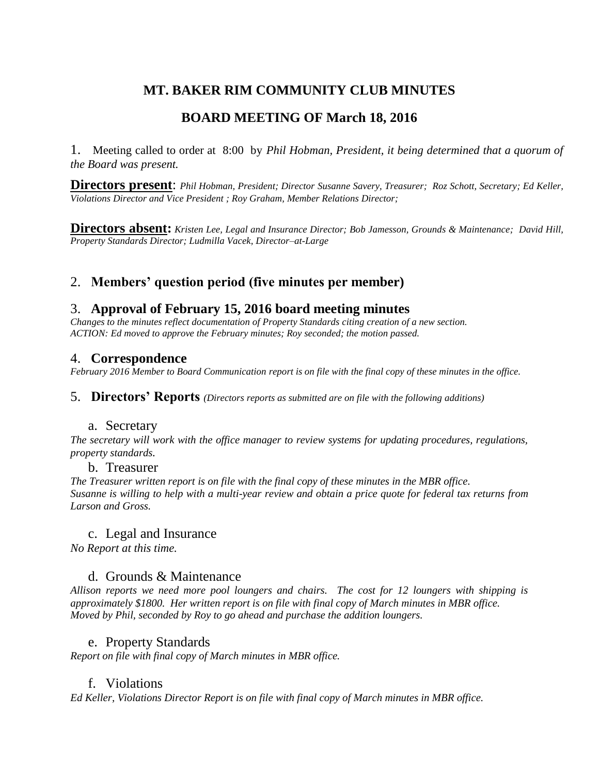# **MT. BAKER RIM COMMUNITY CLUB MINUTES**

# **BOARD MEETING OF March 18, 2016**

1. Meeting called to order at 8:00 by *Phil Hobman, President, it being determined that a quorum of the Board was present.* 

**Directors present**: *Phil Hobman, President; Director Susanne Savery, Treasurer; Roz Schott, Secretary; Ed Keller, Violations Director and Vice President ; Roy Graham, Member Relations Director;* 

**Directors absent:** *Kristen Lee, Legal and Insurance Director; Bob Jamesson, Grounds & Maintenance; David Hill, Property Standards Director; Ludmilla Vacek, Director–at-Large*

# 2. **Members' question period (five minutes per member)**

## 3. **Approval of February 15, 2016 board meeting minutes**

*Changes to the minutes reflect documentation of Property Standards citing creation of a new section. ACTION: Ed moved to approve the February minutes; Roy seconded; the motion passed.*

### 4. **Correspondence**

*February 2016 Member to Board Communication report is on file with the final copy of these minutes in the office.* 

5. **Directors' Reports** *(Directors reports as submitted are on file with the following additions)*

### a. Secretary

*The secretary will work with the office manager to review systems for updating procedures, regulations, property standards.*

### b. Treasurer

*The Treasurer written report is on file with the final copy of these minutes in the MBR office. Susanne is willing to help with a multi-year review and obtain a price quote for federal tax returns from Larson and Gross.*

### c. Legal and Insurance

*No Report at this time.*

## d. Grounds & Maintenance

*Allison reports we need more pool loungers and chairs. The cost for 12 loungers with shipping is approximately \$1800. Her written report is on file with final copy of March minutes in MBR office. Moved by Phil, seconded by Roy to go ahead and purchase the addition loungers.*

### e. Property Standards

*Report on file with final copy of March minutes in MBR office.*

## f. Violations

*Ed Keller, Violations Director Report is on file with final copy of March minutes in MBR office.*